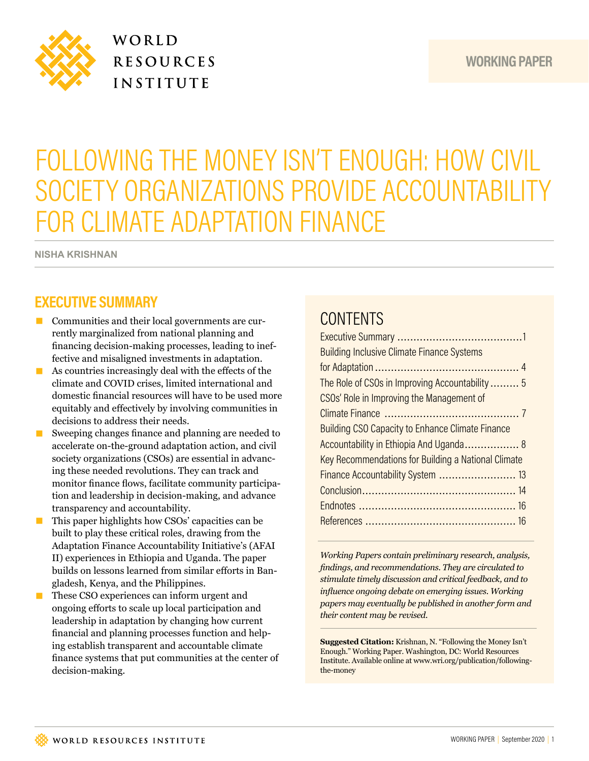

WORLD **RESOURCES INSTITUTE** 

# FOLLOWING THE MONEY ISN'T ENOUGH: HOW CIVIL SOCIETY ORGANIZATIONS PROVIDE ACCOUNTABILITY FOR CLIMATE ADAPTATION FINANCE

**NISHA KRISHNAN**

## **EXECUTIVE SUMMARY**

- Communities and their local governments are currently marginalized from national planning and fnancing decision-making processes, leading to ineffective and misaligned investments in adaptation.
- $\blacksquare$  As countries increasingly deal with the effects of the climate and COVID crises, limited international and domestic fnancial resources will have to be used more equitably and efectively by involving communities in decisions to address their needs.
- Sweeping changes finance and planning are needed to accelerate on-the-ground adaptation action, and civil society organizations (CSOs) are essential in advancing these needed revolutions. They can track and monitor finance flows, facilitate community participation and leadership in decision-making, and advance transparency and accountability.
- This paper highlights how CSOs' capacities can be built to play these critical roles, drawing from the Adaptation Finance Accountability Initiative's (AFAI II) experiences in Ethiopia and Uganda. The paper builds on lessons learned from similar efforts in Bangladesh, Kenya, and the Philippines.
- These CSO experiences can inform urgent and ongoing eforts to scale up local participation and leadership in adaptation by changing how current fnancial and planning processes function and helping establish transparent and accountable climate fnance systems that put communities at the center of decision-making.

# **CONTENTS**

| <b>Building Inclusive Climate Finance Systems</b>       |
|---------------------------------------------------------|
|                                                         |
| The Role of CSOs in Improving Accountability 5          |
| CSOs' Role in Improving the Management of               |
|                                                         |
| <b>Building CSO Capacity to Enhance Climate Finance</b> |
| Accountability in Ethiopia And Uganda 8                 |
| Key Recommendations for Building a National Climate     |
|                                                         |
|                                                         |
|                                                         |
|                                                         |
|                                                         |

*Working Papers contain preliminary research, analysis, fndings, and recommendations. They are circulated to stimulate timely discussion and critical feedback, and to infuence ongoing debate on emerging issues. Working papers may eventually be published in another form and their content may be revised.*

**Suggested Citation:** Krishnan, N. "Following the Money Isn't Enough." Working Paper. Washington, DC: World Resources Institute. Available online at www.wri.org/publication/followingthe-money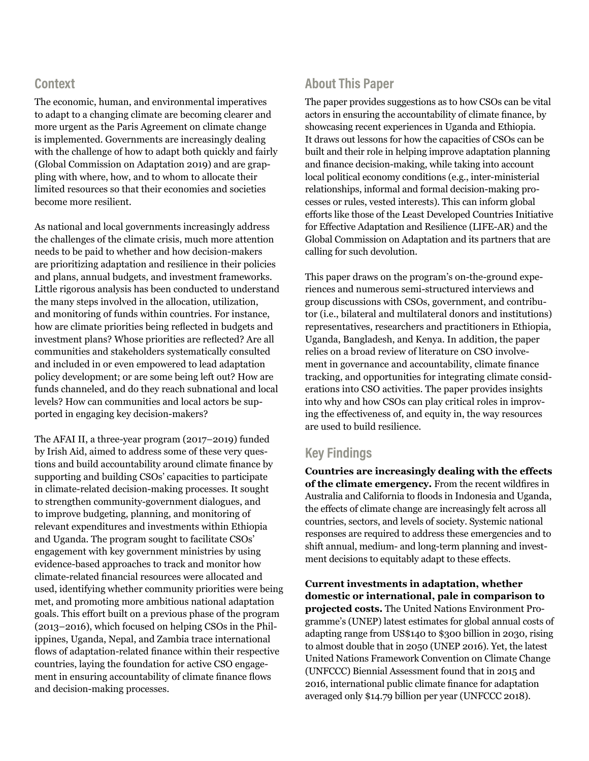### **Context**

The economic, human, and environmental imperatives to adapt to a changing climate are becoming clearer and more urgent as the Paris Agreement on climate change is implemented. Governments are increasingly dealing with the challenge of how to adapt both quickly and fairly (Global Commission on Adaptation 2019) and are grappling with where, how, and to whom to allocate their limited resources so that their economies and societies become more resilient.

As national and local governments increasingly address the challenges of the climate crisis, much more attention needs to be paid to whether and how decision-makers are prioritizing adaptation and resilience in their policies and plans, annual budgets, and investment frameworks. Little rigorous analysis has been conducted to understand the many steps involved in the allocation, utilization, and monitoring of funds within countries. For instance, how are climate priorities being refected in budgets and investment plans? Whose priorities are refected? Are all communities and stakeholders systematically consulted and included in or even empowered to lead adaptation policy development; or are some being left out? How are funds channeled, and do they reach subnational and local levels? How can communities and local actors be supported in engaging key decision-makers?

The AFAI II, a three-year program (2017–2019) funded by Irish Aid, aimed to address some of these very questions and build accountability around climate fnance by supporting and building CSOs' capacities to participate in climate-related decision-making processes. It sought to strengthen community-government dialogues, and to improve budgeting, planning, and monitoring of relevant expenditures and investments within Ethiopia and Uganda. The program sought to facilitate CSOs' engagement with key government ministries by using evidence-based approaches to track and monitor how climate-related fnancial resources were allocated and used, identifying whether community priorities were being met, and promoting more ambitious national adaptation goals. This efort built on a previous phase of the program (2013–2016), which focused on helping CSOs in the Philippines, Uganda, Nepal, and Zambia trace international flows of adaptation-related finance within their respective countries, laying the foundation for active CSO engagement in ensuring accountability of climate fnance fows and decision-making processes.

### **About This Paper**

The paper provides suggestions as to how CSOs can be vital actors in ensuring the accountability of climate fnance, by showcasing recent experiences in Uganda and Ethiopia. It draws out lessons for how the capacities of CSOs can be built and their role in helping improve adaptation planning and fnance decision-making, while taking into account local political economy conditions (e.g., inter-ministerial relationships, informal and formal decision-making processes or rules, vested interests). This can inform global eforts like those of the Least Developed Countries Initiative for Efective Adaptation and Resilience (LIFE-AR) and the Global Commission on Adaptation and its partners that are calling for such devolution.

This paper draws on the program's on-the-ground experiences and numerous semi-structured interviews and group discussions with CSOs, government, and contributor (i.e., bilateral and multilateral donors and institutions) representatives, researchers and practitioners in Ethiopia, Uganda, Bangladesh, and Kenya. In addition, the paper relies on a broad review of literature on CSO involvement in governance and accountability, climate fnance tracking, and opportunities for integrating climate considerations into CSO activities. The paper provides insights into why and how CSOs can play critical roles in improving the efectiveness of, and equity in, the way resources are used to build resilience.

### **Key Findings**

**Countries are increasingly dealing with the effects of the climate emergency.** From the recent wildfres in Australia and California to floods in Indonesia and Uganda, the efects of climate change are increasingly felt across all countries, sectors, and levels of society. Systemic national responses are required to address these emergencies and to shift annual, medium- and long-term planning and investment decisions to equitably adapt to these effects.

**Current investments in adaptation, whether domestic or international, pale in comparison to projected costs.** The United Nations Environment Programme's (UNEP) latest estimates for global annual costs of adapting range from US\$140 to \$300 billion in 2030, rising to almost double that in 2050 (UNEP 2016). Yet, the latest United Nations Framework Convention on Climate Change (UNFCCC) Biennial Assessment found that in 2015 and 2016, international public climate fnance for adaptation averaged only \$14.79 billion per year (UNFCCC 2018).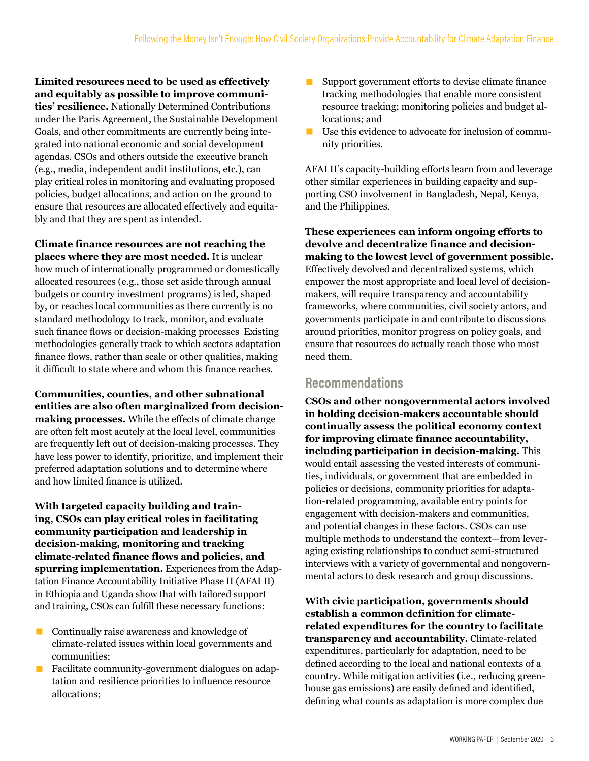**Limited resources need to be used as effectively and equitably as possible to improve communities' resilience.** Nationally Determined Contributions under the Paris Agreement, the Sustainable Development Goals, and other commitments are currently being integrated into national economic and social development agendas. CSOs and others outside the executive branch (e.g., media, independent audit institutions, etc.), can play critical roles in monitoring and evaluating proposed policies, budget allocations, and action on the ground to ensure that resources are allocated efectively and equitably and that they are spent as intended.

**Climate finance resources are not reaching the places where they are most needed.** It is unclear how much of internationally programmed or domestically allocated resources (e.g., those set aside through annual budgets or country investment programs) is led, shaped by, or reaches local communities as there currently is no standard methodology to track, monitor, and evaluate such finance flows or decision-making processes Existing methodologies generally track to which sectors adaptation finance flows, rather than scale or other qualities, making it difficult to state where and whom this finance reaches.

**Communities, counties, and other subnational entities are also often marginalized from decisionmaking processes.** While the effects of climate change are often felt most acutely at the local level, communities are frequently left out of decision-making processes. They have less power to identify, prioritize, and implement their preferred adaptation solutions and to determine where and how limited fnance is utilized.

**With targeted capacity building and training, CSOs can play critical roles in facilitating community participation and leadership in decision-making, monitoring and tracking climate-related finance flows and policies, and spurring implementation.** Experiences from the Adaptation Finance Accountability Initiative Phase II (AFAI II) in Ethiopia and Uganda show that with tailored support and training, CSOs can fulfll these necessary functions:

- $\Box$  Continually raise awareness and knowledge of climate-related issues within local governments and communities;
- **E** Facilitate community-government dialogues on adaptation and resilience priorities to infuence resource allocations;
- Support government efforts to devise climate finance tracking methodologies that enable more consistent resource tracking; monitoring policies and budget allocations; and
- Use this evidence to advocate for inclusion of community priorities.

AFAI II's capacity-building efforts learn from and leverage other similar experiences in building capacity and supporting CSO involvement in Bangladesh, Nepal, Kenya, and the Philippines.

**These experiences can inform ongoing efforts to devolve and decentralize finance and decisionmaking to the lowest level of government possible.** Efectively devolved and decentralized systems, which empower the most appropriate and local level of decisionmakers, will require transparency and accountability frameworks, where communities, civil society actors, and governments participate in and contribute to discussions around priorities, monitor progress on policy goals, and ensure that resources do actually reach those who most need them.

### **Recommendations**

**CSOs and other nongovernmental actors involved in holding decision-makers accountable should continually assess the political economy context for improving climate finance accountability, including participation in decision-making.** This would entail assessing the vested interests of communities, individuals, or government that are embedded in policies or decisions, community priorities for adaptation-related programming, available entry points for engagement with decision-makers and communities, and potential changes in these factors. CSOs can use multiple methods to understand the context—from leveraging existing relationships to conduct semi-structured interviews with a variety of governmental and nongovernmental actors to desk research and group discussions.

**With civic participation, governments should establish a common definition for climaterelated expenditures for the country to facilitate transparency and accountability.** Climate-related expenditures, particularly for adaptation, need to be defned according to the local and national contexts of a country. While mitigation activities (i.e., reducing greenhouse gas emissions) are easily defned and identifed, defning what counts as adaptation is more complex due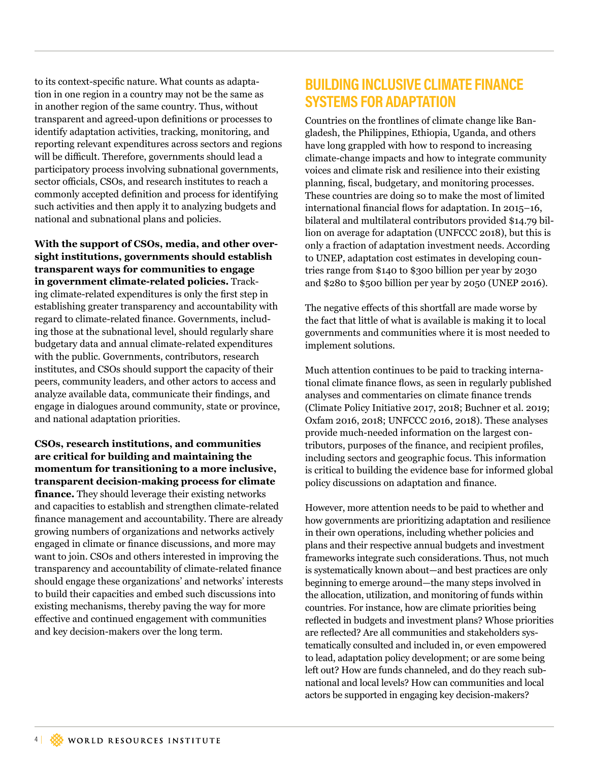to its context-specifc nature. What counts as adaptation in one region in a country may not be the same as in another region of the same country. Thus, without transparent and agreed-upon defnitions or processes to identify adaptation activities, tracking, monitoring, and reporting relevant expenditures across sectors and regions will be difficult. Therefore, governments should lead a participatory process involving subnational governments, sector officials, CSOs, and research institutes to reach a commonly accepted defnition and process for identifying such activities and then apply it to analyzing budgets and national and subnational plans and policies.

**With the support of CSOs, media, and other oversight institutions, governments should establish transparent ways for communities to engage in government climate-related policies.** Tracking climate-related expenditures is only the frst step in establishing greater transparency and accountability with regard to climate-related fnance. Governments, including those at the subnational level, should regularly share budgetary data and annual climate-related expenditures with the public. Governments, contributors, research institutes, and CSOs should support the capacity of their peers, community leaders, and other actors to access and analyze available data, communicate their fndings, and engage in dialogues around community, state or province, and national adaptation priorities.

**CSOs, research institutions, and communities are critical for building and maintaining the momentum for transitioning to a more inclusive, transparent decision-making process for climate finance.** They should leverage their existing networks and capacities to establish and strengthen climate-related fnance management and accountability. There are already growing numbers of organizations and networks actively engaged in climate or fnance discussions, and more may want to join. CSOs and others interested in improving the transparency and accountability of climate-related fnance should engage these organizations' and networks' interests to build their capacities and embed such discussions into existing mechanisms, thereby paving the way for more efective and continued engagement with communities and key decision-makers over the long term.

## **BUILDING INCLUSIVE CLIMATE FINANCE SYSTEMS FOR ADAPTATION**

Countries on the frontlines of climate change like Bangladesh, the Philippines, Ethiopia, Uganda, and others have long grappled with how to respond to increasing climate-change impacts and how to integrate community voices and climate risk and resilience into their existing planning, fscal, budgetary, and monitoring processes. These countries are doing so to make the most of limited international financial flows for adaptation. In 2015–16, bilateral and multilateral contributors provided \$14.79 billion on average for adaptation (UNFCCC 2018), but this is only a fraction of adaptation investment needs. According to UNEP, adaptation cost estimates in developing countries range from \$140 to \$300 billion per year by 2030 and \$280 to \$500 billion per year by 2050 (UNEP 2016).

The negative effects of this shortfall are made worse by the fact that little of what is available is making it to local governments and communities where it is most needed to implement solutions.

Much attention continues to be paid to tracking international climate fnance fows, as seen in regularly published analyses and commentaries on climate fnance trends (Climate Policy Initiative 2017, 2018; Buchner et al. 2019; Oxfam 2016, 2018; UNFCCC 2016, 2018). These analyses provide much-needed information on the largest contributors, purposes of the fnance, and recipient profles, including sectors and geographic focus. This information is critical to building the evidence base for informed global policy discussions on adaptation and fnance.

However, more attention needs to be paid to whether and how governments are prioritizing adaptation and resilience in their own operations, including whether policies and plans and their respective annual budgets and investment frameworks integrate such considerations. Thus, not much is systematically known about—and best practices are only beginning to emerge around—the many steps involved in the allocation, utilization, and monitoring of funds within countries. For instance, how are climate priorities being refected in budgets and investment plans? Whose priorities are refected? Are all communities and stakeholders systematically consulted and included in, or even empowered to lead, adaptation policy development; or are some being left out? How are funds channeled, and do they reach subnational and local levels? How can communities and local actors be supported in engaging key decision-makers?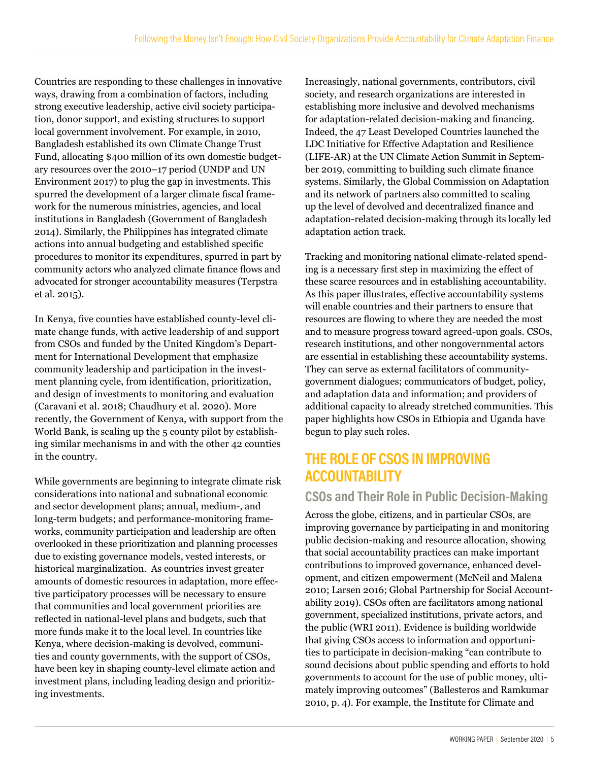Countries are responding to these challenges in innovative ways, drawing from a combination of factors, including strong executive leadership, active civil society participation, donor support, and existing structures to support local government involvement. For example, in 2010, Bangladesh established its own Climate Change Trust Fund, allocating \$400 million of its own domestic budgetary resources over the 2010–17 period (UNDP and UN Environment 2017) to plug the gap in investments. This spurred the development of a larger climate fscal framework for the numerous ministries, agencies, and local institutions in Bangladesh (Government of Bangladesh 2014). Similarly, the Philippines has integrated climate actions into annual budgeting and established specifc procedures to monitor its expenditures, spurred in part by community actors who analyzed climate fnance fows and advocated for stronger accountability measures (Terpstra et al. 2015).

In Kenya, fve counties have established county-level climate change funds, with active leadership of and support from CSOs and funded by the United Kingdom's Department for International Development that emphasize community leadership and participation in the investment planning cycle, from identifcation, prioritization, and design of investments to monitoring and evaluation (Caravani et al. 2018; Chaudhury et al. 2020). More recently, the Government of Kenya, with support from the World Bank, is scaling up the 5 county pilot by establishing similar mechanisms in and with the other 42 counties in the country.

While governments are beginning to integrate climate risk considerations into national and subnational economic and sector development plans; annual, medium-, and long-term budgets; and performance-monitoring frameworks, community participation and leadership are often overlooked in these prioritization and planning processes due to existing governance models, vested interests, or historical marginalization. As countries invest greater amounts of domestic resources in adaptation, more efective participatory processes will be necessary to ensure that communities and local government priorities are refected in national-level plans and budgets, such that more funds make it to the local level. In countries like Kenya, where decision-making is devolved, communities and county governments, with the support of CSOs, have been key in shaping county-level climate action and investment plans, including leading design and prioritizing investments.

Increasingly, national governments, contributors, civil society, and research organizations are interested in establishing more inclusive and devolved mechanisms for adaptation-related decision-making and fnancing. Indeed, the 47 Least Developed Countries launched the LDC Initiative for Efective Adaptation and Resilience (LIFE-AR) at the UN Climate Action Summit in September 2019, committing to building such climate fnance systems. Similarly, the Global Commission on Adaptation and its network of partners also committed to scaling up the level of devolved and decentralized fnance and adaptation-related decision-making through its locally led adaptation action track.

Tracking and monitoring national climate-related spending is a necessary frst step in maximizing the efect of these scarce resources and in establishing accountability. As this paper illustrates, efective accountability systems will enable countries and their partners to ensure that resources are fowing to where they are needed the most and to measure progress toward agreed-upon goals. CSOs, research institutions, and other nongovernmental actors are essential in establishing these accountability systems. They can serve as external facilitators of communitygovernment dialogues; communicators of budget, policy, and adaptation data and information; and providers of additional capacity to already stretched communities. This paper highlights how CSOs in Ethiopia and Uganda have begun to play such roles.

# **THE ROLE OF CSOS IN IMPROVING ACCOUNTABILITY**

### **CSOs and Their Role in Public Decision-Making**

Across the globe, citizens, and in particular CSOs, are improving governance by participating in and monitoring public decision-making and resource allocation, showing that social accountability practices can make important contributions to improved governance, enhanced development, and citizen empowerment (McNeil and Malena 2010; Larsen 2016; Global Partnership for Social Accountability 2019). CSOs often are facilitators among national government, specialized institutions, private actors, and the public (WRI 2011). Evidence is building worldwide that giving CSOs access to information and opportunities to participate in decision-making "can contribute to sound decisions about public spending and efforts to hold governments to account for the use of public money, ultimately improving outcomes" (Ballesteros and Ramkumar 2010, p. 4). For example, the Institute for Climate and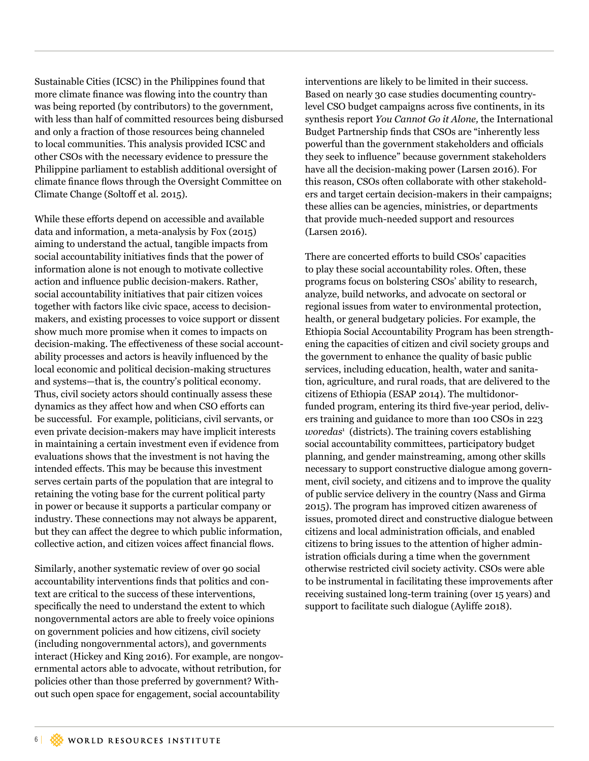Sustainable Cities (ICSC) in the Philippines found that more climate fnance was fowing into the country than was being reported (by contributors) to the government, with less than half of committed resources being disbursed and only a fraction of those resources being channeled to local communities. This analysis provided ICSC and other CSOs with the necessary evidence to pressure the Philippine parliament to establish additional oversight of climate fnance fows through the Oversight Committee on Climate Change (Soltoff et al. 2015).

While these efforts depend on accessible and available data and information, a meta-analysis by Fox (2015) aiming to understand the actual, tangible impacts from social accountability initiatives fnds that the power of information alone is not enough to motivate collective action and infuence public decision-makers. Rather, social accountability initiatives that pair citizen voices together with factors like civic space, access to decisionmakers, and existing processes to voice support or dissent show much more promise when it comes to impacts on decision-making. The effectiveness of these social accountability processes and actors is heavily infuenced by the local economic and political decision-making structures and systems—that is, the country's political economy. Thus, civil society actors should continually assess these dynamics as they afect how and when CSO eforts can be successful. For example, politicians, civil servants, or even private decision-makers may have implicit interests in maintaining a certain investment even if evidence from evaluations shows that the investment is not having the intended efects. This may be because this investment serves certain parts of the population that are integral to retaining the voting base for the current political party in power or because it supports a particular company or industry. These connections may not always be apparent, but they can afect the degree to which public information, collective action, and citizen voices afect fnancial fows.

Similarly, another systematic review of over 90 social accountability interventions fnds that politics and context are critical to the success of these interventions, specifcally the need to understand the extent to which nongovernmental actors are able to freely voice opinions on government policies and how citizens, civil society (including nongovernmental actors), and governments interact (Hickey and King 2016). For example, are nongovernmental actors able to advocate, without retribution, for policies other than those preferred by government? Without such open space for engagement, social accountability

interventions are likely to be limited in their success. Based on nearly 30 case studies documenting countrylevel CSO budget campaigns across fve continents, in its synthesis report *You Cannot Go it Alone,* the International Budget Partnership fnds that CSOs are "inherently less powerful than the government stakeholders and officials they seek to infuence" because government stakeholders have all the decision-making power (Larsen 2016). For this reason, CSOs often collaborate with other stakeholders and target certain decision-makers in their campaigns; these allies can be agencies, ministries, or departments that provide much-needed support and resources (Larsen 2016).

There are concerted efforts to build CSOs' capacities to play these social accountability roles. Often, these programs focus on bolstering CSOs' ability to research, analyze, build networks, and advocate on sectoral or regional issues from water to environmental protection, health, or general budgetary policies. For example, the Ethiopia Social Accountability Program has been strengthening the capacities of citizen and civil society groups and the government to enhance the quality of basic public services, including education, health, water and sanitation, agriculture, and rural roads, that are delivered to the citizens of Ethiopia (ESAP 2014). The multidonorfunded program, entering its third fve-year period, delivers training and guidance to more than 100 CSOs in 223 *woredas*<sup>1</sup> (districts). The training covers establishing social accountability committees, participatory budget planning, and gender mainstreaming, among other skills necessary to support constructive dialogue among government, civil society, and citizens and to improve the quality of public service delivery in the country (Nass and Girma 2015). The program has improved citizen awareness of issues, promoted direct and constructive dialogue between citizens and local administration officials, and enabled citizens to bring issues to the attention of higher administration officials during a time when the government otherwise restricted civil society activity. CSOs were able to be instrumental in facilitating these improvements after receiving sustained long-term training (over 15 years) and support to facilitate such dialogue (Aylife 2018).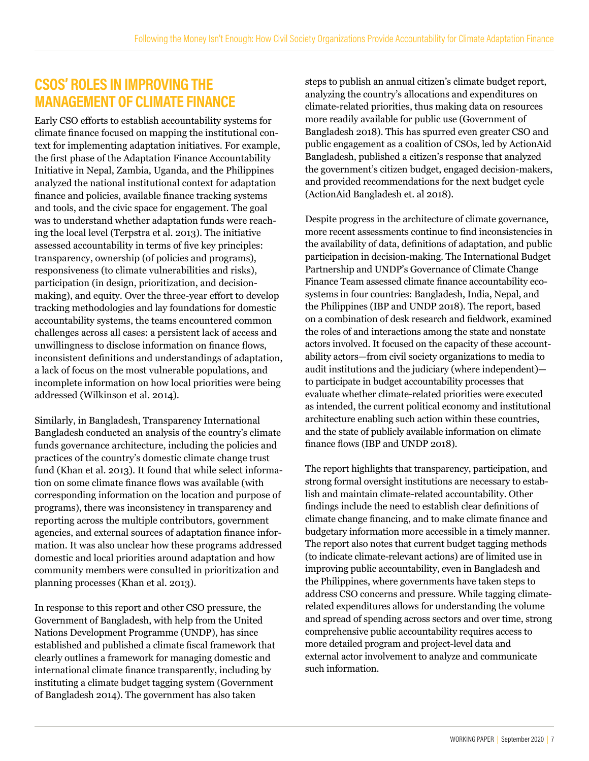## **CSOS' ROLES IN IMPROVING THE MANAGEMENT OF CLIMATE FINANCE**

Early CSO eforts to establish accountability systems for climate fnance focused on mapping the institutional context for implementing adaptation initiatives. For example, the frst phase of the Adaptation Finance Accountability Initiative in Nepal, Zambia, Uganda, and the Philippines analyzed the national institutional context for adaptation fnance and policies, available fnance tracking systems and tools, and the civic space for engagement. The goal was to understand whether adaptation funds were reaching the local level (Terpstra et al. 2013). The initiative assessed accountability in terms of fve key principles: transparency, ownership (of policies and programs), responsiveness (to climate vulnerabilities and risks), participation (in design, prioritization, and decisionmaking), and equity. Over the three-year effort to develop tracking methodologies and lay foundations for domestic accountability systems, the teams encountered common challenges across all cases: a persistent lack of access and unwillingness to disclose information on fnance fows, inconsistent defnitions and understandings of adaptation, a lack of focus on the most vulnerable populations, and incomplete information on how local priorities were being addressed (Wilkinson et al. 2014).

Similarly, in Bangladesh, Transparency International Bangladesh conducted an analysis of the country's climate funds governance architecture, including the policies and practices of the country's domestic climate change trust fund (Khan et al. 2013). It found that while select information on some climate finance flows was available (with corresponding information on the location and purpose of programs), there was inconsistency in transparency and reporting across the multiple contributors, government agencies, and external sources of adaptation fnance information. It was also unclear how these programs addressed domestic and local priorities around adaptation and how community members were consulted in prioritization and planning processes (Khan et al. 2013).

In response to this report and other CSO pressure, the Government of Bangladesh, with help from the United Nations Development Programme (UNDP), has since established and published a climate fscal framework that clearly outlines a framework for managing domestic and international climate fnance transparently, including by instituting a climate budget tagging system (Government of Bangladesh 2014). The government has also taken

steps to publish an annual citizen's climate budget report, analyzing the country's allocations and expenditures on climate-related priorities, thus making data on resources more readily available for public use (Government of Bangladesh 2018). This has spurred even greater CSO and public engagement as a coalition of CSOs, led by ActionAid Bangladesh, published a citizen's response that analyzed the government's citizen budget, engaged decision-makers, and provided recommendations for the next budget cycle (ActionAid Bangladesh et. al 2018).

Despite progress in the architecture of climate governance, more recent assessments continue to fnd inconsistencies in the availability of data, defnitions of adaptation, and public participation in decision-making. The International Budget Partnership and UNDP's Governance of Climate Change Finance Team assessed climate fnance accountability ecosystems in four countries: Bangladesh, India, Nepal, and the Philippines (IBP and UNDP 2018). The report, based on a combination of desk research and feldwork, examined the roles of and interactions among the state and nonstate actors involved. It focused on the capacity of these accountability actors—from civil society organizations to media to audit institutions and the judiciary (where independent) to participate in budget accountability processes that evaluate whether climate-related priorities were executed as intended, the current political economy and institutional architecture enabling such action within these countries, and the state of publicly available information on climate fnance fows (IBP and UNDP 2018).

The report highlights that transparency, participation, and strong formal oversight institutions are necessary to establish and maintain climate-related accountability. Other fndings include the need to establish clear defnitions of climate change fnancing, and to make climate fnance and budgetary information more accessible in a timely manner. The report also notes that current budget tagging methods (to indicate climate-relevant actions) are of limited use in improving public accountability, even in Bangladesh and the Philippines, where governments have taken steps to address CSO concerns and pressure. While tagging climaterelated expenditures allows for understanding the volume and spread of spending across sectors and over time, strong comprehensive public accountability requires access to more detailed program and project-level data and external actor involvement to analyze and communicate such information.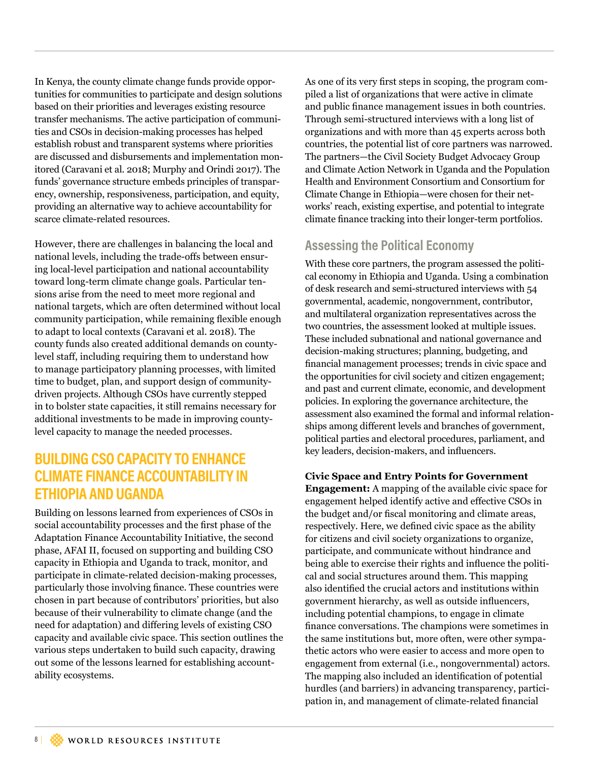In Kenya, the county climate change funds provide opportunities for communities to participate and design solutions based on their priorities and leverages existing resource transfer mechanisms. The active participation of communities and CSOs in decision-making processes has helped establish robust and transparent systems where priorities are discussed and disbursements and implementation monitored (Caravani et al. 2018; Murphy and Orindi 2017). The funds' governance structure embeds principles of transparency, ownership, responsiveness, participation, and equity, providing an alternative way to achieve accountability for scarce climate-related resources.

However, there are challenges in balancing the local and national levels, including the trade-ofs between ensuring local-level participation and national accountability toward long-term climate change goals. Particular tensions arise from the need to meet more regional and national targets, which are often determined without local community participation, while remaining fexible enough to adapt to local contexts (Caravani et al. 2018). The county funds also created additional demands on countylevel staf, including requiring them to understand how to manage participatory planning processes, with limited time to budget, plan, and support design of communitydriven projects. Although CSOs have currently stepped in to bolster state capacities, it still remains necessary for additional investments to be made in improving countylevel capacity to manage the needed processes.

### **BUILDING CSO CAPACITY TO ENHANCE CLIMATE FINANCE ACCOUNTABILITY IN ETHIOPIA AND UGANDA**

Building on lessons learned from experiences of CSOs in social accountability processes and the frst phase of the Adaptation Finance Accountability Initiative, the second phase, AFAI II, focused on supporting and building CSO capacity in Ethiopia and Uganda to track, monitor, and participate in climate-related decision-making processes, particularly those involving fnance. These countries were chosen in part because of contributors' priorities, but also because of their vulnerability to climate change (and the need for adaptation) and difering levels of existing CSO capacity and available civic space. This section outlines the various steps undertaken to build such capacity, drawing out some of the lessons learned for establishing accountability ecosystems.

As one of its very frst steps in scoping, the program compiled a list of organizations that were active in climate and public fnance management issues in both countries. Through semi-structured interviews with a long list of organizations and with more than 45 experts across both countries, the potential list of core partners was narrowed. The partners—the Civil Society Budget Advocacy Group and Climate Action Network in Uganda and the Population Health and Environment Consortium and Consortium for Climate Change in Ethiopia—were chosen for their networks' reach, existing expertise, and potential to integrate climate fnance tracking into their longer-term portfolios.

### **Assessing the Political Economy**

With these core partners, the program assessed the political economy in Ethiopia and Uganda. Using a combination of desk research and semi-structured interviews with 54 governmental, academic, nongovernment, contributor, and multilateral organization representatives across the two countries, the assessment looked at multiple issues. These included subnational and national governance and decision-making structures; planning, budgeting, and fnancial management processes; trends in civic space and the opportunities for civil society and citizen engagement; and past and current climate, economic, and development policies. In exploring the governance architecture, the assessment also examined the formal and informal relationships among diferent levels and branches of government, political parties and electoral procedures, parliament, and key leaders, decision-makers, and infuencers.

### **Civic Space and Entry Points for Government**

**Engagement:** A mapping of the available civic space for engagement helped identify active and efective CSOs in the budget and/or fscal monitoring and climate areas, respectively. Here, we defned civic space as the ability for citizens and civil society organizations to organize, participate, and communicate without hindrance and being able to exercise their rights and infuence the political and social structures around them. This mapping also identifed the crucial actors and institutions within government hierarchy, as well as outside infuencers, including potential champions, to engage in climate fnance conversations. The champions were sometimes in the same institutions but, more often, were other sympathetic actors who were easier to access and more open to engagement from external (i.e., nongovernmental) actors. The mapping also included an identifcation of potential hurdles (and barriers) in advancing transparency, participation in, and management of climate-related fnancial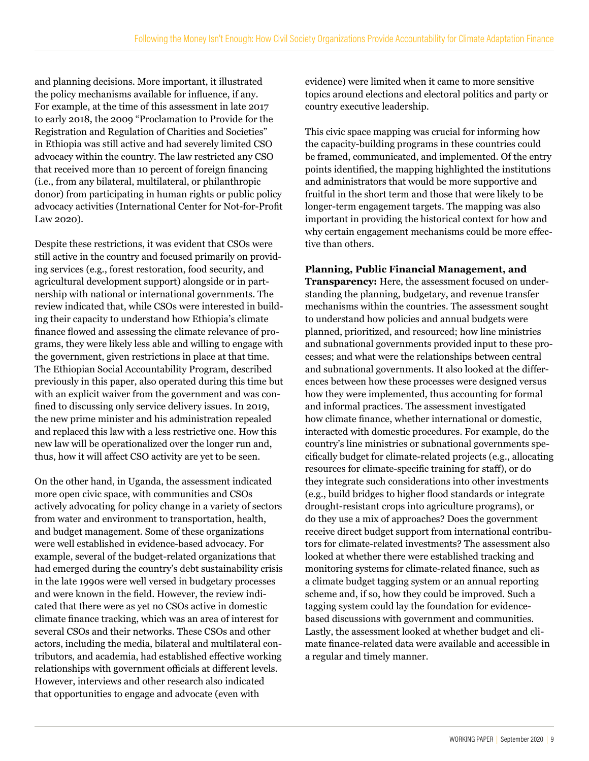and planning decisions. More important, it illustrated the policy mechanisms available for infuence, if any. For example, at the time of this assessment in late 2017 to early 2018, the 2009 "Proclamation to Provide for the Registration and Regulation of Charities and Societies" in Ethiopia was still active and had severely limited CSO advocacy within the country. The law restricted any CSO that received more than 10 percent of foreign fnancing (i.e., from any bilateral, multilateral, or philanthropic donor) from participating in human rights or public policy advocacy activities (International Center for Not-for-Proft Law 2020).

Despite these restrictions, it was evident that CSOs were still active in the country and focused primarily on providing services (e.g., forest restoration, food security, and agricultural development support) alongside or in partnership with national or international governments. The review indicated that, while CSOs were interested in building their capacity to understand how Ethiopia's climate finance flowed and assessing the climate relevance of programs, they were likely less able and willing to engage with the government, given restrictions in place at that time. The Ethiopian Social Accountability Program, described previously in this paper, also operated during this time but with an explicit waiver from the government and was confned to discussing only service delivery issues. In 2019, the new prime minister and his administration repealed and replaced this law with a less restrictive one. How this new law will be operationalized over the longer run and, thus, how it will affect CSO activity are yet to be seen.

On the other hand, in Uganda, the assessment indicated more open civic space, with communities and CSOs actively advocating for policy change in a variety of sectors from water and environment to transportation, health, and budget management. Some of these organizations were well established in evidence-based advocacy. For example, several of the budget-related organizations that had emerged during the country's debt sustainability crisis in the late 1990s were well versed in budgetary processes and were known in the feld. However, the review indicated that there were as yet no CSOs active in domestic climate fnance tracking, which was an area of interest for several CSOs and their networks. These CSOs and other actors, including the media, bilateral and multilateral contributors, and academia, had established efective working relationships with government officials at different levels. However, interviews and other research also indicated that opportunities to engage and advocate (even with

evidence) were limited when it came to more sensitive topics around elections and electoral politics and party or country executive leadership.

This civic space mapping was crucial for informing how the capacity-building programs in these countries could be framed, communicated, and implemented. Of the entry points identifed, the mapping highlighted the institutions and administrators that would be more supportive and fruitful in the short term and those that were likely to be longer-term engagement targets. The mapping was also important in providing the historical context for how and why certain engagement mechanisms could be more efective than others.

#### **Planning, Public Financial Management, and**

**Transparency:** Here, the assessment focused on understanding the planning, budgetary, and revenue transfer mechanisms within the countries. The assessment sought to understand how policies and annual budgets were planned, prioritized, and resourced; how line ministries and subnational governments provided input to these processes; and what were the relationships between central and subnational governments. It also looked at the diferences between how these processes were designed versus how they were implemented, thus accounting for formal and informal practices. The assessment investigated how climate fnance, whether international or domestic, interacted with domestic procedures. For example, do the country's line ministries or subnational governments specifcally budget for climate-related projects (e.g., allocating resources for climate-specifc training for staf), or do they integrate such considerations into other investments (e.g., build bridges to higher food standards or integrate drought-resistant crops into agriculture programs), or do they use a mix of approaches? Does the government receive direct budget support from international contributors for climate-related investments? The assessment also looked at whether there were established tracking and monitoring systems for climate-related fnance, such as a climate budget tagging system or an annual reporting scheme and, if so, how they could be improved. Such a tagging system could lay the foundation for evidencebased discussions with government and communities. Lastly, the assessment looked at whether budget and climate fnance-related data were available and accessible in a regular and timely manner.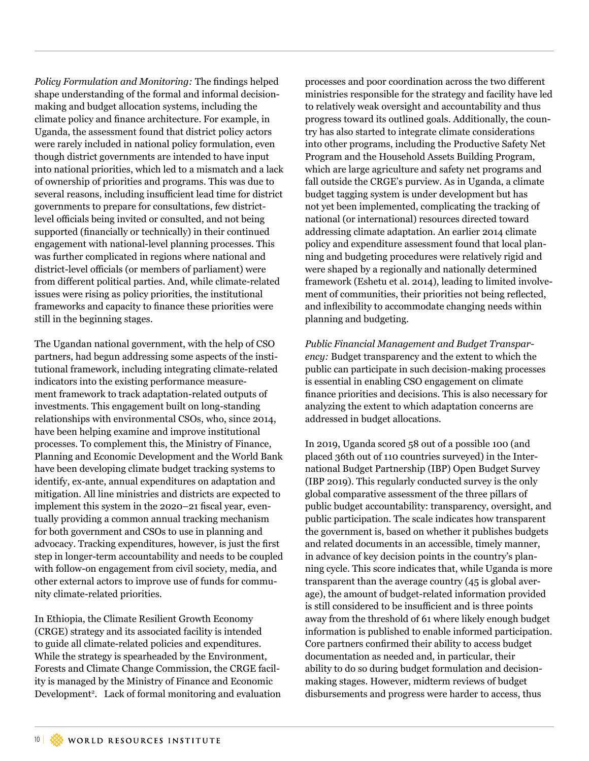*Policy Formulation and Monitoring:* The fndings helped shape understanding of the formal and informal decisionmaking and budget allocation systems, including the climate policy and fnance architecture. For example, in Uganda, the assessment found that district policy actors were rarely included in national policy formulation, even though district governments are intended to have input into national priorities, which led to a mismatch and a lack of ownership of priorities and programs. This was due to several reasons, including insufficient lead time for district governments to prepare for consultations, few districtlevel officials being invited or consulted, and not being supported (fnancially or technically) in their continued engagement with national-level planning processes. This was further complicated in regions where national and district-level officials (or members of parliament) were from diferent political parties. And, while climate-related issues were rising as policy priorities, the institutional frameworks and capacity to fnance these priorities were still in the beginning stages.

The Ugandan national government, with the help of CSO partners, had begun addressing some aspects of the institutional framework, including integrating climate-related indicators into the existing performance measurement framework to track adaptation-related outputs of investments. This engagement built on long-standing relationships with environmental CSOs, who, since 2014, have been helping examine and improve institutional processes. To complement this, the Ministry of Finance, Planning and Economic Development and the World Bank have been developing climate budget tracking systems to identify, ex-ante, annual expenditures on adaptation and mitigation. All line ministries and districts are expected to implement this system in the 2020–21 fiscal year, eventually providing a common annual tracking mechanism for both government and CSOs to use in planning and advocacy. Tracking expenditures, however, is just the frst step in longer-term accountability and needs to be coupled with follow-on engagement from civil society, media, and other external actors to improve use of funds for community climate-related priorities.

In Ethiopia, the Climate Resilient Growth Economy (CRGE) strategy and its associated facility is intended to guide all climate-related policies and expenditures. While the strategy is spearheaded by the Environment, Forests and Climate Change Commission, the CRGE facility is managed by the Ministry of Finance and Economic Development<sup>2</sup>. Lack of formal monitoring and evaluation processes and poor coordination across the two diferent ministries responsible for the strategy and facility have led to relatively weak oversight and accountability and thus progress toward its outlined goals. Additionally, the country has also started to integrate climate considerations into other programs, including the Productive Safety Net Program and the Household Assets Building Program, which are large agriculture and safety net programs and fall outside the CRGE's purview. As in Uganda, a climate budget tagging system is under development but has not yet been implemented, complicating the tracking of national (or international) resources directed toward addressing climate adaptation. An earlier 2014 climate policy and expenditure assessment found that local planning and budgeting procedures were relatively rigid and were shaped by a regionally and nationally determined framework (Eshetu et al. 2014), leading to limited involvement of communities, their priorities not being refected, and infexibility to accommodate changing needs within planning and budgeting.

*Public Financial Management and Budget Transparency:* Budget transparency and the extent to which the public can participate in such decision-making processes is essential in enabling CSO engagement on climate fnance priorities and decisions. This is also necessary for analyzing the extent to which adaptation concerns are addressed in budget allocations.

In 2019, Uganda scored 58 out of a possible 100 (and placed 36th out of 110 countries surveyed) in the International Budget Partnership (IBP) Open Budget Survey (IBP 2019). This regularly conducted survey is the only global comparative assessment of the three pillars of public budget accountability: transparency, oversight, and public participation. The scale indicates how transparent the government is, based on whether it publishes budgets and related documents in an accessible, timely manner, in advance of key decision points in the country's planning cycle. This score indicates that, while Uganda is more transparent than the average country (45 is global average), the amount of budget-related information provided is still considered to be insufficient and is three points away from the threshold of 61 where likely enough budget information is published to enable informed participation. Core partners confrmed their ability to access budget documentation as needed and, in particular, their ability to do so during budget formulation and decisionmaking stages. However, midterm reviews of budget disbursements and progress were harder to access, thus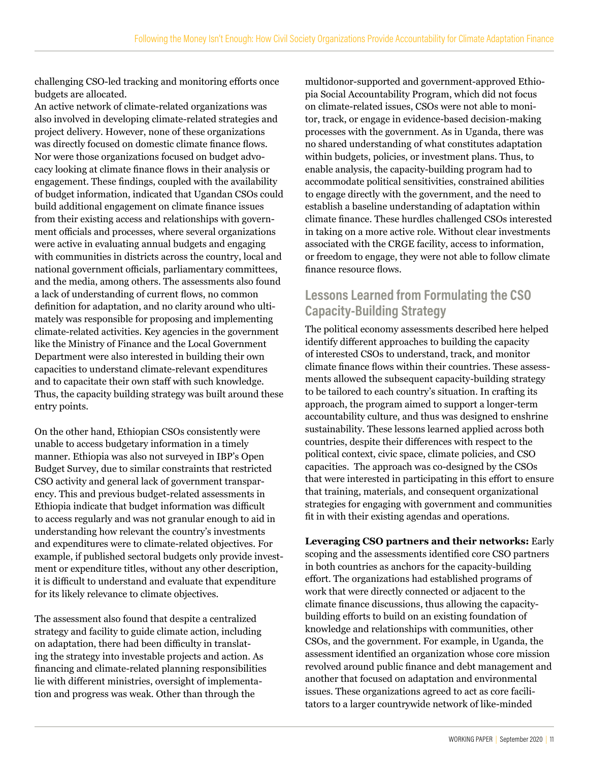challenging CSO-led tracking and monitoring eforts once budgets are allocated.

An active network of climate-related organizations was also involved in developing climate-related strategies and project delivery. However, none of these organizations was directly focused on domestic climate finance flows. Nor were those organizations focused on budget advocacy looking at climate fnance fows in their analysis or engagement. These fndings, coupled with the availability of budget information, indicated that Ugandan CSOs could build additional engagement on climate fnance issues from their existing access and relationships with government officials and processes, where several organizations were active in evaluating annual budgets and engaging with communities in districts across the country, local and national government officials, parliamentary committees, and the media, among others. The assessments also found a lack of understanding of current fows, no common defnition for adaptation, and no clarity around who ultimately was responsible for proposing and implementing climate-related activities. Key agencies in the government like the Ministry of Finance and the Local Government Department were also interested in building their own capacities to understand climate-relevant expenditures and to capacitate their own staff with such knowledge. Thus, the capacity building strategy was built around these entry points.

On the other hand, Ethiopian CSOs consistently were unable to access budgetary information in a timely manner. Ethiopia was also not surveyed in IBP's Open Budget Survey, due to similar constraints that restricted CSO activity and general lack of government transparency. This and previous budget-related assessments in Ethiopia indicate that budget information was difficult to access regularly and was not granular enough to aid in understanding how relevant the country's investments and expenditures were to climate-related objectives. For example, if published sectoral budgets only provide investment or expenditure titles, without any other description, it is difficult to understand and evaluate that expenditure for its likely relevance to climate objectives.

The assessment also found that despite a centralized strategy and facility to guide climate action, including on adaptation, there had been difficulty in translating the strategy into investable projects and action. As fnancing and climate-related planning responsibilities lie with diferent ministries, oversight of implementation and progress was weak. Other than through the

multidonor-supported and government-approved Ethiopia Social Accountability Program, which did not focus on climate-related issues, CSOs were not able to monitor, track, or engage in evidence-based decision-making processes with the government. As in Uganda, there was no shared understanding of what constitutes adaptation within budgets, policies, or investment plans. Thus, to enable analysis, the capacity-building program had to accommodate political sensitivities, constrained abilities to engage directly with the government, and the need to establish a baseline understanding of adaptation within climate fnance. These hurdles challenged CSOs interested in taking on a more active role. Without clear investments associated with the CRGE facility, access to information, or freedom to engage, they were not able to follow climate finance resource flows.

### **Lessons Learned from Formulating the CSO Capacity-Building Strategy**

The political economy assessments described here helped identify diferent approaches to building the capacity of interested CSOs to understand, track, and monitor climate fnance fows within their countries. These assessments allowed the subsequent capacity-building strategy to be tailored to each country's situation. In crafting its approach, the program aimed to support a longer-term accountability culture, and thus was designed to enshrine sustainability. These lessons learned applied across both countries, despite their diferences with respect to the political context, civic space, climate policies, and CSO capacities. The approach was co-designed by the CSOs that were interested in participating in this effort to ensure that training, materials, and consequent organizational strategies for engaging with government and communities ft in with their existing agendas and operations.

#### **Leveraging CSO partners and their networks:** Early scoping and the assessments identifed core CSO partners in both countries as anchors for the capacity-building efort. The organizations had established programs of work that were directly connected or adjacent to the climate fnance discussions, thus allowing the capacitybuilding eforts to build on an existing foundation of knowledge and relationships with communities, other CSOs, and the government. For example, in Uganda, the assessment identifed an organization whose core mission revolved around public fnance and debt management and another that focused on adaptation and environmental issues. These organizations agreed to act as core facilitators to a larger countrywide network of like-minded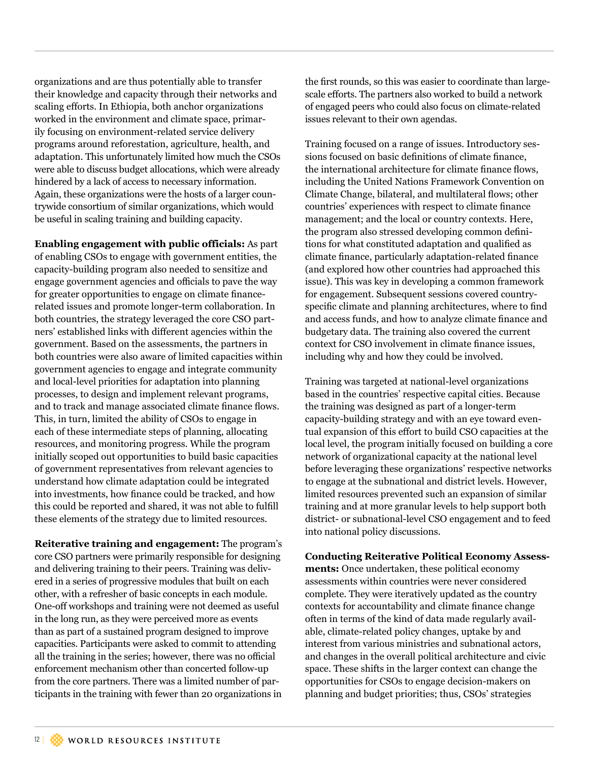organizations and are thus potentially able to transfer their knowledge and capacity through their networks and scaling efforts. In Ethiopia, both anchor organizations worked in the environment and climate space, primarily focusing on environment-related service delivery programs around reforestation, agriculture, health, and adaptation. This unfortunately limited how much the CSOs were able to discuss budget allocations, which were already hindered by a lack of access to necessary information. Again, these organizations were the hosts of a larger countrywide consortium of similar organizations, which would be useful in scaling training and building capacity.

**Enabling engagement with public officials:** As part of enabling CSOs to engage with government entities, the capacity-building program also needed to sensitize and engage government agencies and officials to pave the way for greater opportunities to engage on climate fnancerelated issues and promote longer-term collaboration. In both countries, the strategy leveraged the core CSO partners' established links with diferent agencies within the government. Based on the assessments, the partners in both countries were also aware of limited capacities within government agencies to engage and integrate community and local-level priorities for adaptation into planning processes, to design and implement relevant programs, and to track and manage associated climate fnance fows. This, in turn, limited the ability of CSOs to engage in each of these intermediate steps of planning, allocating resources, and monitoring progress. While the program initially scoped out opportunities to build basic capacities of government representatives from relevant agencies to understand how climate adaptation could be integrated into investments, how fnance could be tracked, and how this could be reported and shared, it was not able to fulfll these elements of the strategy due to limited resources.

**Reiterative training and engagement:** The program's core CSO partners were primarily responsible for designing and delivering training to their peers. Training was delivered in a series of progressive modules that built on each other, with a refresher of basic concepts in each module. One-off workshops and training were not deemed as useful in the long run, as they were perceived more as events than as part of a sustained program designed to improve capacities. Participants were asked to commit to attending all the training in the series; however, there was no official enforcement mechanism other than concerted follow-up from the core partners. There was a limited number of participants in the training with fewer than 20 organizations in

the frst rounds, so this was easier to coordinate than largescale efforts. The partners also worked to build a network of engaged peers who could also focus on climate-related issues relevant to their own agendas.

Training focused on a range of issues. Introductory sessions focused on basic defnitions of climate fnance, the international architecture for climate finance flows. including the United Nations Framework Convention on Climate Change, bilateral, and multilateral flows; other countries' experiences with respect to climate fnance management; and the local or country contexts. Here, the program also stressed developing common defnitions for what constituted adaptation and qualifed as climate fnance, particularly adaptation-related fnance (and explored how other countries had approached this issue). This was key in developing a common framework for engagement. Subsequent sessions covered countryspecifc climate and planning architectures, where to fnd and access funds, and how to analyze climate fnance and budgetary data. The training also covered the current context for CSO involvement in climate fnance issues, including why and how they could be involved.

Training was targeted at national-level organizations based in the countries' respective capital cities. Because the training was designed as part of a longer-term capacity-building strategy and with an eye toward eventual expansion of this effort to build CSO capacities at the local level, the program initially focused on building a core network of organizational capacity at the national level before leveraging these organizations' respective networks to engage at the subnational and district levels. However, limited resources prevented such an expansion of similar training and at more granular levels to help support both district- or subnational-level CSO engagement and to feed into national policy discussions.

**Conducting Reiterative Political Economy Assessments:** Once undertaken, these political economy assessments within countries were never considered complete. They were iteratively updated as the country contexts for accountability and climate fnance change often in terms of the kind of data made regularly available, climate-related policy changes, uptake by and interest from various ministries and subnational actors, and changes in the overall political architecture and civic space. These shifts in the larger context can change the opportunities for CSOs to engage decision-makers on planning and budget priorities; thus, CSOs' strategies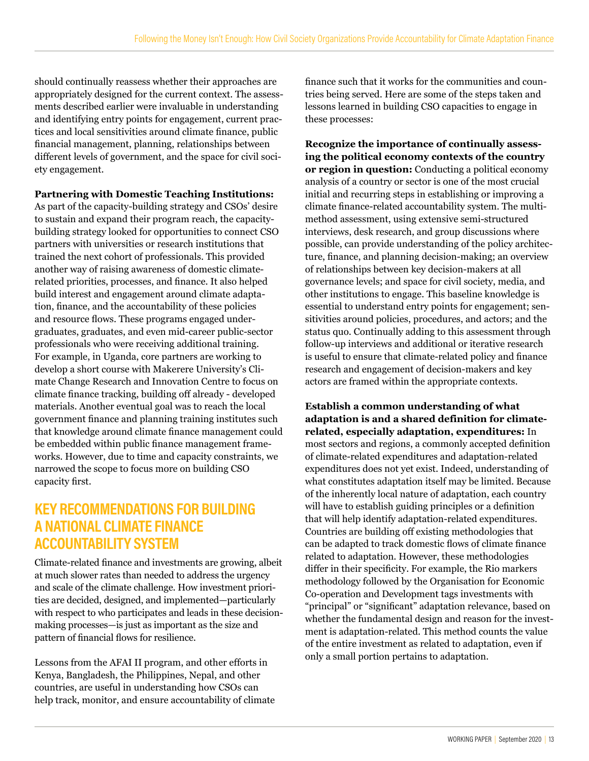should continually reassess whether their approaches are appropriately designed for the current context. The assessments described earlier were invaluable in understanding and identifying entry points for engagement, current practices and local sensitivities around climate fnance, public fnancial management, planning, relationships between diferent levels of government, and the space for civil society engagement.

**Partnering with Domestic Teaching Institutions:**

As part of the capacity-building strategy and CSOs' desire to sustain and expand their program reach, the capacitybuilding strategy looked for opportunities to connect CSO partners with universities or research institutions that trained the next cohort of professionals. This provided another way of raising awareness of domestic climaterelated priorities, processes, and fnance. It also helped build interest and engagement around climate adaptation, fnance, and the accountability of these policies and resource flows. These programs engaged undergraduates, graduates, and even mid-career public-sector professionals who were receiving additional training. For example, in Uganda, core partners are working to develop a short course with Makerere University's Climate Change Research and Innovation Centre to focus on climate finance tracking, building off already - developed materials. Another eventual goal was to reach the local government fnance and planning training institutes such that knowledge around climate fnance management could be embedded within public fnance management frameworks. However, due to time and capacity constraints, we narrowed the scope to focus more on building CSO capacity frst.

## **KEY RECOMMENDATIONS FOR BUILDING A NATIONAL CLIMATE FINANCE ACCOUNTABILITY SYSTEM**

Climate-related fnance and investments are growing, albeit at much slower rates than needed to address the urgency and scale of the climate challenge. How investment priorities are decided, designed, and implemented—particularly with respect to who participates and leads in these decisionmaking processes—is just as important as the size and pattern of financial flows for resilience.

Lessons from the AFAI II program, and other eforts in Kenya, Bangladesh, the Philippines, Nepal, and other countries, are useful in understanding how CSOs can help track, monitor, and ensure accountability of climate

fnance such that it works for the communities and countries being served. Here are some of the steps taken and lessons learned in building CSO capacities to engage in these processes:

**Recognize the importance of continually assessing the political economy contexts of the country or region in question:** Conducting a political economy analysis of a country or sector is one of the most crucial initial and recurring steps in establishing or improving a climate fnance-related accountability system. The multimethod assessment, using extensive semi-structured interviews, desk research, and group discussions where possible, can provide understanding of the policy architecture, fnance, and planning decision-making; an overview of relationships between key decision-makers at all governance levels; and space for civil society, media, and other institutions to engage. This baseline knowledge is essential to understand entry points for engagement; sensitivities around policies, procedures, and actors; and the status quo. Continually adding to this assessment through follow-up interviews and additional or iterative research is useful to ensure that climate-related policy and fnance research and engagement of decision-makers and key actors are framed within the appropriate contexts.

**Establish a common understanding of what adaptation is and a shared definition for climaterelated, especially adaptation, expenditures:** In most sectors and regions, a commonly accepted defnition of climate-related expenditures and adaptation-related expenditures does not yet exist. Indeed, understanding of what constitutes adaptation itself may be limited. Because of the inherently local nature of adaptation, each country will have to establish guiding principles or a defnition that will help identify adaptation-related expenditures. Countries are building off existing methodologies that can be adapted to track domestic fows of climate fnance related to adaptation. However, these methodologies difer in their specifcity. For example, the Rio markers methodology followed by the Organisation for Economic Co-operation and Development tags investments with "principal" or "signifcant" adaptation relevance, based on whether the fundamental design and reason for the investment is adaptation-related. This method counts the value of the entire investment as related to adaptation, even if only a small portion pertains to adaptation.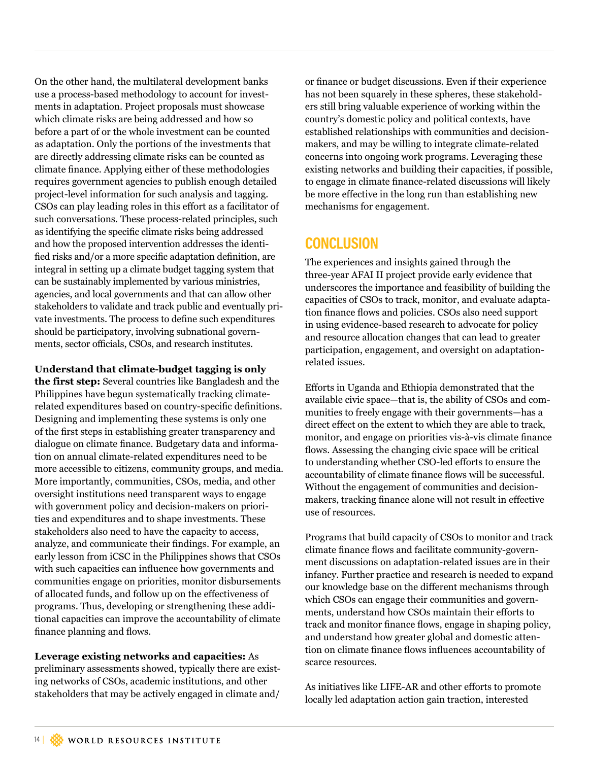On the other hand, the multilateral development banks use a process-based methodology to account for investments in adaptation. Project proposals must showcase which climate risks are being addressed and how so before a part of or the whole investment can be counted as adaptation. Only the portions of the investments that are directly addressing climate risks can be counted as climate fnance. Applying either of these methodologies requires government agencies to publish enough detailed project-level information for such analysis and tagging. CSOs can play leading roles in this efort as a facilitator of such conversations. These process-related principles, such as identifying the specifc climate risks being addressed and how the proposed intervention addresses the identifed risks and/or a more specifc adaptation defnition, are integral in setting up a climate budget tagging system that can be sustainably implemented by various ministries, agencies, and local governments and that can allow other stakeholders to validate and track public and eventually private investments. The process to defne such expenditures should be participatory, involving subnational governments, sector officials, CSOs, and research institutes.

**Understand that climate-budget tagging is only the first step:** Several countries like Bangladesh and the Philippines have begun systematically tracking climaterelated expenditures based on country-specifc defnitions. Designing and implementing these systems is only one of the frst steps in establishing greater transparency and dialogue on climate fnance. Budgetary data and information on annual climate-related expenditures need to be more accessible to citizens, community groups, and media. More importantly, communities, CSOs, media, and other oversight institutions need transparent ways to engage with government policy and decision-makers on priorities and expenditures and to shape investments. These stakeholders also need to have the capacity to access, analyze, and communicate their fndings. For example, an early lesson from iCSC in the Philippines shows that CSOs with such capacities can infuence how governments and communities engage on priorities, monitor disbursements of allocated funds, and follow up on the efectiveness of programs. Thus, developing or strengthening these additional capacities can improve the accountability of climate fnance planning and fows.

**Leverage existing networks and capacities:** As preliminary assessments showed, typically there are existing networks of CSOs, academic institutions, and other stakeholders that may be actively engaged in climate and/

or fnance or budget discussions. Even if their experience has not been squarely in these spheres, these stakeholders still bring valuable experience of working within the country's domestic policy and political contexts, have established relationships with communities and decisionmakers, and may be willing to integrate climate-related concerns into ongoing work programs. Leveraging these existing networks and building their capacities, if possible, to engage in climate fnance-related discussions will likely be more efective in the long run than establishing new mechanisms for engagement.

### **CONCLUSION**

The experiences and insights gained through the three-year AFAI II project provide early evidence that underscores the importance and feasibility of building the capacities of CSOs to track, monitor, and evaluate adaptation finance flows and policies. CSOs also need support in using evidence-based research to advocate for policy and resource allocation changes that can lead to greater participation, engagement, and oversight on adaptationrelated issues.

Eforts in Uganda and Ethiopia demonstrated that the available civic space—that is, the ability of CSOs and communities to freely engage with their governments—has a direct effect on the extent to which they are able to track, monitor, and engage on priorities vis-à-vis climate fnance flows. Assessing the changing civic space will be critical to understanding whether CSO-led efforts to ensure the accountability of climate fnance fows will be successful. Without the engagement of communities and decisionmakers, tracking fnance alone will not result in efective use of resources.

Programs that build capacity of CSOs to monitor and track climate fnance fows and facilitate community-government discussions on adaptation-related issues are in their infancy. Further practice and research is needed to expand our knowledge base on the diferent mechanisms through which CSOs can engage their communities and governments, understand how CSOs maintain their eforts to track and monitor fnance fows, engage in shaping policy, and understand how greater global and domestic attention on climate finance flows influences accountability of scarce resources.

As initiatives like LIFE-AR and other efforts to promote locally led adaptation action gain traction, interested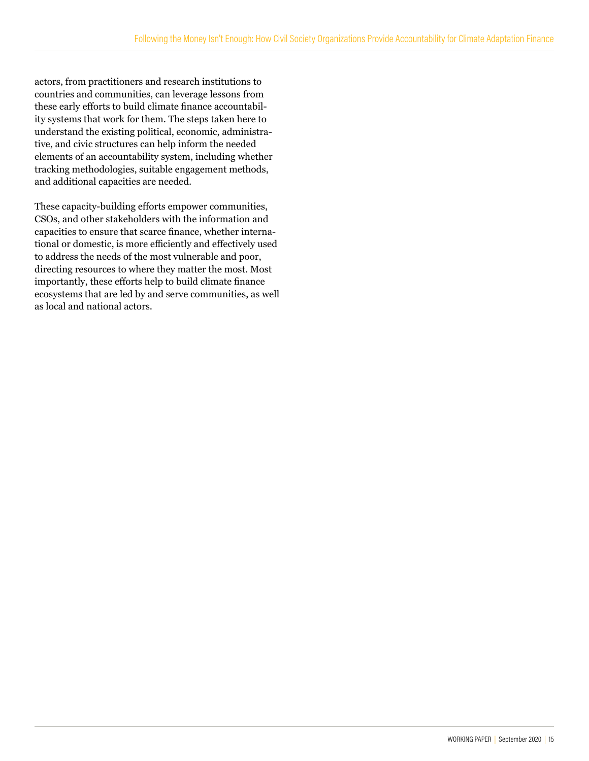actors, from practitioners and research institutions to countries and communities, can leverage lessons from these early efforts to build climate finance accountability systems that work for them. The steps taken here to understand the existing political, economic, administrative, and civic structures can help inform the needed elements of an accountability system, including whether tracking methodologies, suitable engagement methods, and additional capacities are needed.

These capacity-building efforts empower communities, CSOs, and other stakeholders with the information and capacities to ensure that scarce fnance, whether international or domestic, is more efficiently and effectively used to address the needs of the most vulnerable and poor, directing resources to where they matter the most. Most importantly, these efforts help to build climate finance ecosystems that are led by and serve communities, as well as local and national actors.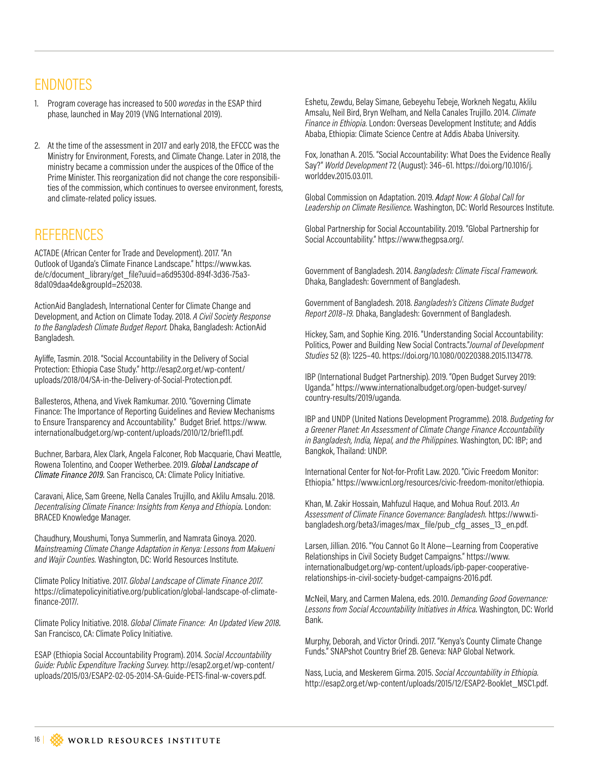# ENDNOTES

- 1. Program coverage has increased to 500 *woredas* in the ESAP third phase, launched in May 2019 (VNG International 2019).
- 2. At the time of the assessment in 2017 and early 2018, the EFCCC was the Ministry for Environment, Forests, and Climate Change. Later in 2018, the ministry became a commission under the auspices of the Ofice of the Prime Minister. This reorganization did not change the core responsibilities of the commission, which continues to oversee environment, forests, and climate-related policy issues.

### **REFERENCES**

ACTADE (African Center for Trade and Development). 2017. "An Outlook of Uganda's Climate Finance Landscape." [https://www.kas.](https://www.kas.de/c/document_library/get_file?uuid=a6d9530d-894f-3d36-75a3-8da109daa4de&groupId=252) [de/c/document\\_library/get\\_file?uuid=a6d9530d-894f-3d36-75a3-](https://www.kas.de/c/document_library/get_file?uuid=a6d9530d-894f-3d36-75a3-8da109daa4de&groupId=252) [8da109daa4de&groupId=252038.](https://www.kas.de/c/document_library/get_file?uuid=a6d9530d-894f-3d36-75a3-8da109daa4de&groupId=252) 

ActionAid Bangladesh, International Center for Climate Change and Development, and Action on Climate Today. 2018. *A Civil Society Response to the Bangladesh Climate Budget Report.* Dhaka, Bangladesh: ActionAid Bangladesh.

Aylife, Tasmin. 2018. "Social Accountability in the Delivery of Social Protection: Ethiopia Case Study." http://esap2.org.et/wp-content/ uploads/2018/04/SA-in-the-Delivery-of-Social-Protection.pdf.

Ballesteros, Athena, and Vivek Ramkumar. 2010. "Governing Climate Finance: The Importance of Reporting Guidelines and Review Mechanisms to Ensure Transparency and Accountability." Budget Brief. https://www. internationalbudget.org/wp-content/uploads/2010/12/brief11.pdf.

Buchner, Barbara, Alex Clark, Angela Falconer, Rob Macquarie, Chavi Meattle, Rowena Tolentino, and Cooper Wetherbee. 2019. *Global Landscape of Climate Finance 2019.* San Francisco, CA: Climate Policy Initiative.

Caravani, Alice, Sam Greene, Nella Canales Trujillo, and Aklilu Amsalu. 2018. *Decentralising Climate Finance: Insights from Kenya and Ethiopia.* London: BRACED Knowledge Manager.

Chaudhury, Moushumi, Tonya Summerlin, and Namrata Ginoya. 2020. *Mainstreaming Climate Change Adaptation in Kenya: Lessons from Makueni and Wajir Counties.* Washington, DC: World Resources Institute.

Climate Policy Initiative. 2017. *Global Landscape of Climate Finance 2017.*  [https://climatepolicyinitiative.org/publication/global-landscape-of-climate](https://climatepolicyinitiative.org/publication/global-landscape-of-climate-finance-2017/.)[finance-2017/.](https://climatepolicyinitiative.org/publication/global-landscape-of-climate-finance-2017/.)

Climate Policy Initiative. 2018. *Global Climate Finance: An Updated View 2018.*  San Francisco, CA: Climate Policy Initiative.

ESAP (Ethiopia Social Accountability Program). 2014. *Social Accountability Guide: Public Expenditure Tracking Survey.* http://esap2.org.et/wp-content/ uploads/2015/03/ESAP2-02-05-2014-SA-Guide-PETS-final-w-covers.pdf.

Eshetu, Zewdu, Belay Simane, Gebeyehu Tebeje, Workneh Negatu, Aklilu Amsalu, Neil Bird, Bryn Welham, and Nella Canales Trujillo. 2014. *Climate Finance in Ethiopia.* London: Overseas Development Institute; and Addis Ababa, Ethiopia: Climate Science Centre at Addis Ababa University.

Fox, Jonathan A. 2015. "Social Accountability: What Does the Evidence Really Say?" *World Development* 72 (August): 346–61. https://doi.org/10.1016/j. worlddev.2015.03.011.

Global Commission on Adaptation. 2019. *Adapt Now: A Global Call for Leadership on Climate Resilience.* Washington, DC: World Resources Institute.

Global Partnership for Social Accountability. 2019. "Global Partnership for Social Accountability." https://www.thegpsa.org/.

Government of Bangladesh. 2014. *Bangladesh: Climate Fiscal Framework.*  Dhaka, Bangladesh: Government of Bangladesh.

Government of Bangladesh. 2018. *Bangladesh's Citizens Climate Budget Report 2018–19.* Dhaka, Bangladesh: Government of Bangladesh.

Hickey, Sam, and Sophie King. 2016. "Understanding Social Accountability: Politics, Power and Building New Social Contracts."*Journal of Development Studies* 52 (8): 1225–40. https://doi.org/10.1080/00220388.2015.1134778.

IBP (International Budget Partnership). 2019. "Open Budget Survey 2019: Uganda." https://www.internationalbudget.org/open-budget-survey/ country-results/2019/uganda.

IBP and UNDP (United Nations Development Programme). 2018. *Budgeting for a Greener Planet: An Assessment of Climate Change Finance Accountability in Bangladesh, India, Nepal, and the Philippines.* Washington, DC: IBP; and Bangkok, Thailand: UNDP.

International Center for Not-for-Profit Law. 2020. "Civic Freedom Monitor: Ethiopia." https://www.icnl.org/resources/civic-freedom-monitor/ethiopia.

Khan, M. Zakir Hossain, Mahfuzul Haque, and Mohua Rouf. 2013. *An Assessment of Climate Finance Governance: Bangladesh.* https://www.tibangladesh.org/beta3/images/max\_file/pub\_cfg\_asses\_13\_en.pdf.

Larsen, Jillian. 2016. "You Cannot Go It Alone—Learning from Cooperative Relationships in Civil Society Budget Campaigns." https://www. internationalbudget.org/wp-content/uploads/ipb-paper-cooperativerelationships-in-civil-society-budget-campaigns-2016.pdf.

McNeil, Mary, and Carmen Malena, eds. 2010. *Demanding Good Governance: Lessons from Social Accountability Initiatives in Africa.* Washington, DC: World Bank.

Murphy, Deborah, and Victor Orindi. 2017. "Kenya's County Climate Change Funds." SNAPshot Country Brief 2B. Geneva: NAP Global Network.

Nass, Lucia, and Meskerem Girma. 2015. *Social Accountability in Ethiopia.* http://esap2.org.et/wp-content/uploads/2015/12/ESAP2-Booklet\_MSC1.pdf.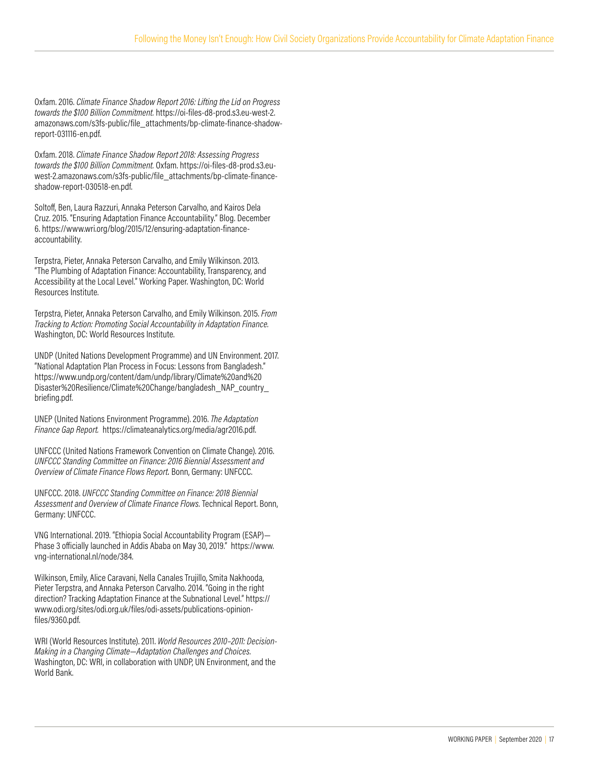Oxfam. 2016. *Climate Finance Shadow Report 2016: Lifting the Lid on Progress towards the \$100 Billion Commitment.* https://oi-files-d8-prod.s3.eu-west-2. amazonaws.com/s3fs-public/file\_attachments/bp-climate-finance-shadowreport-031116-en.pdf.

Oxfam. 2018. *Climate Finance Shadow Report 2018: Assessing Progress towards the \$100 Billion Commitment.* Oxfam. https://oi-files-d8-prod.s3.euwest-2.amazonaws.com/s3fs-public/file\_attachments/bp-climate-financeshadow-report-030518-en.pdf.

Soltof, Ben, Laura Razzuri, Annaka Peterson Carvalho, and Kairos Dela Cruz. 2015. "Ensuring Adaptation Finance Accountability." Blog. December 6. https://www.wri.org/blog/2015/12/ensuring-adaptation-financeaccountability.

Terpstra, Pieter, Annaka Peterson Carvalho, and Emily Wilkinson. 2013. "The Plumbing of Adaptation Finance: Accountability, Transparency, and Accessibility at the Local Level." Working Paper. Washington, DC: World Resources Institute.

Terpstra, Pieter, Annaka Peterson Carvalho, and Emily Wilkinson. 2015. *From Tracking to Action: Promoting Social Accountability in Adaptation Finance.* Washington, DC: World Resources Institute.

UNDP (United Nations Development Programme) and UN Environment. 2017. "National Adaptation Plan Process in Focus: Lessons from Bangladesh." https://www.undp.org/content/dam/undp/library/Climate%20and%20 Disaster%20Resilience/Climate%20Change/bangladesh\_NAP\_country\_ briefing.pdf.

UNEP (United Nations Environment Programme). 2016. *The Adaptation Finance Gap Report.* https://climateanalytics.org/media/agr2016.pdf.

UNFCCC (United Nations Framework Convention on Climate Change). 2016. *UNFCCC Standing Committee on Finance: 2016 Biennial Assessment and Overview of Climate Finance Flows Report.* Bonn, Germany: UNFCCC.

UNFCCC. 2018. *UNFCCC Standing Committee on Finance: 2018 Biennial Assessment and Overview of Climate Finance Flows.* Technical Report. Bonn, Germany: UNFCCC.

VNG International. 2019. "Ethiopia Social Accountability Program (ESAP)— Phase 3 oficially launched in Addis Ababa on May 30, 2019." https://www. vng-international.nl/node/384.

Wilkinson, Emily, Alice Caravani, Nella Canales Trujillo, Smita Nakhooda, Pieter Terpstra, and Annaka Peterson Carvalho. 2014. "Going in the right direction? Tracking Adaptation Finance at the Subnational Level." https:// www.odi.org/sites/odi.org.uk/files/odi-assets/publications-opinionfiles/9360.pdf.

WRI (World Resources Institute). 2011. *World Resources 2010–2011: Decision-Making in a Changing Climate—Adaptation Challenges and Choices.*  Washington, DC: WRI, in collaboration with UNDP, UN Environment, and the World Bank.